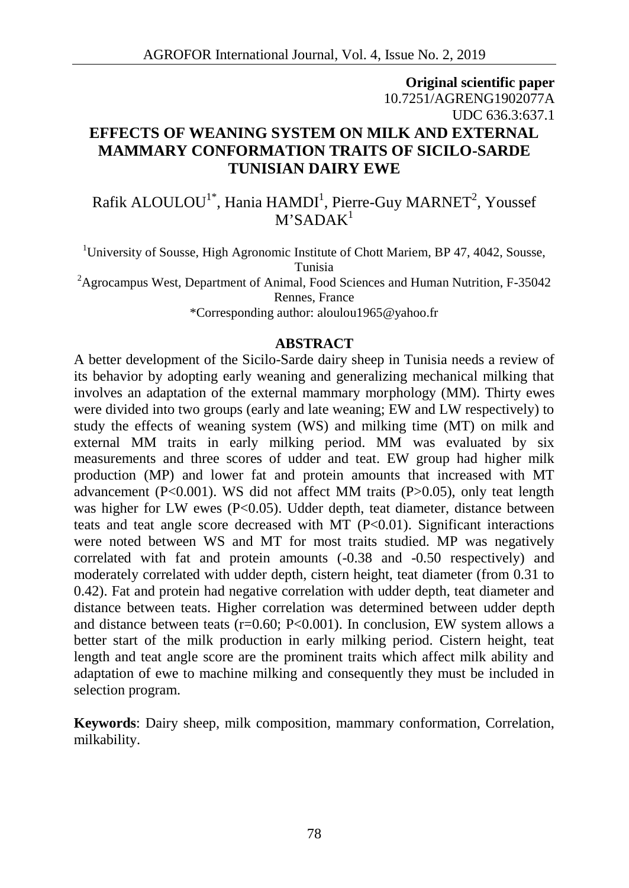# **Original scientific paper** 10.7251/AGRENG1902077A UDC 636.3:637.1 **EFFECTS OF WEANING SYSTEM ON MILK AND EXTERNAL MAMMARY CONFORMATION TRAITS OF SICILO-SARDE TUNISIAN DAIRY EWE**

Rafik ALOULOU $^{\rm 1^\ast}$ , Hania HAMDI $^{\rm 1}$ , Pierre-Guy MARNET $^{\rm 2}$ , Youssef  $M'SADAK<sup>1</sup>$ 

<sup>1</sup>University of Sousse, High Agronomic Institute of Chott Mariem, BP 47, 4042, Sousse, Tunisia <sup>2</sup>Agrocampus West, Department of Animal, Food Sciences and Human Nutrition, F-35042 Rennes, France

\*Corresponding author: aloulou1965@yahoo.fr

#### **ABSTRACT**

A better development of the Sicilo-Sarde dairy sheep in Tunisia needs a review of its behavior by adopting early weaning and generalizing mechanical milking that involves an adaptation of the external mammary morphology (MM). Thirty ewes were divided into two groups (early and late weaning; EW and LW respectively) to study the effects of weaning system (WS) and milking time (MT) on milk and external MM traits in early milking period. MM was evaluated by six measurements and three scores of udder and teat. EW group had higher milk production (MP) and lower fat and protein amounts that increased with MT advancement  $(P<0.001)$ . WS did not affect MM traits  $(P>0.05)$ , only teat length was higher for LW ewes (P<0.05). Udder depth, teat diameter, distance between teats and teat angle score decreased with MT  $(P<0.01)$ . Significant interactions were noted between WS and MT for most traits studied. MP was negatively correlated with fat and protein amounts (-0.38 and -0.50 respectively) and moderately correlated with udder depth, cistern height, teat diameter (from 0.31 to 0.42). Fat and protein had negative correlation with udder depth, teat diameter and distance between teats. Higher correlation was determined between udder depth and distance between teats ( $r=0.60$ ; P<0.001). In conclusion, EW system allows a better start of the milk production in early milking period. Cistern height, teat length and teat angle score are the prominent traits which affect milk ability and adaptation of ewe to machine milking and consequently they must be included in selection program.

**Keywords**: Dairy sheep, milk composition, mammary conformation, Correlation, milkability.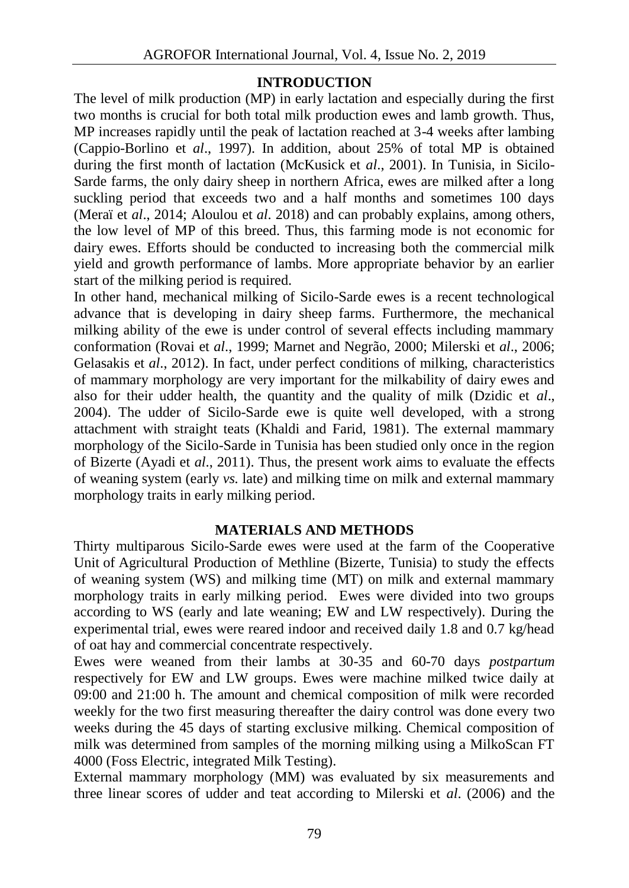### **INTRODUCTION**

The level of milk production (MP) in early lactation and especially during the first two months is crucial for both total milk production ewes and lamb growth. Thus, MP increases rapidly until the peak of lactation reached at 3-4 weeks after lambing (Cappio-Borlino et *al*., 1997). In addition, about 25% of total MP is obtained during the first month of lactation (McKusick et *al*., 2001). In Tunisia, in Sicilo- Sarde farms, the only dairy sheep in northern Africa, ewes are milked after a long suckling period that exceeds two and a half months and sometimes 100 days (Meraï et *al*., 2014; Aloulou et *al*. 2018) and can probably explains, among others, the low level of MP of this breed. Thus, this farming mode is not economic for dairy ewes. Efforts should be conducted to increasing both the commercial milk yield and growth performance of lambs. More appropriate behavior by an earlier start of the milking period is required.

In other hand, mechanical milking of Sicilo-Sarde ewes is a recent technological advance that is developing in dairy sheep farms. Furthermore, the mechanical milking ability of the ewe is under control of several effects including mammary conformation (Rovai et *al*., 1999; Marnet and Negrão, 2000; Milerski et *al*., 2006; Gelasakis et *al*., 2012). In fact, under perfect conditions of milking, characteristics of mammary morphology are very important for the milkability of dairy ewes and also for their udder health, the quantity and the quality of milk (Dzidic et *al*., 2004). The udder of Sicilo-Sarde ewe is quite well developed, with a strong attachment with straight teats (Khaldi and Farid, 1981). The external mammary morphology of the Sicilo-Sarde in Tunisia has been studied only once in the region of Bizerte (Ayadi et *al*., 2011). Thus, the present work aims to evaluate the effects of weaning system (early *vs.* late) and milking time on milk and external mammary morphology traits in early milking period.

## **MATERIALS AND METHODS**

Thirty multiparous Sicilo-Sarde ewes were used at the farm of the Cooperative Unit of Agricultural Production of Methline (Bizerte, Tunisia) to study the effects of weaning system (WS) and milking time (MT) on milk and external mammary morphology traits in early milking period. Ewes were divided into two groups according to WS (early and late weaning; EW and LW respectively). During the experimental trial, ewes were reared indoor and received daily 1.8 and 0.7 kg/head of oat hay and commercial concentrate respectively.

Ewes were weaned from their lambs at 30-35 and 60-70 days *postpartum* respectively for EW and LW groups. Ewes were machine milked twice daily at 09:00 and 21:00 h. The amount and chemical composition of milk were recorded weekly for the two first measuring thereafter the dairy control was done every two weeks during the 45 days of starting exclusive milking. Chemical composition of milk was determined from samples of the morning milking using a MilkoScan FT 4000 (Foss Electric, integrated Milk Testing).

External mammary morphology (MM) was evaluated by six measurements and three linear scores of udder and teat according to Milerski et *al*. (2006) and the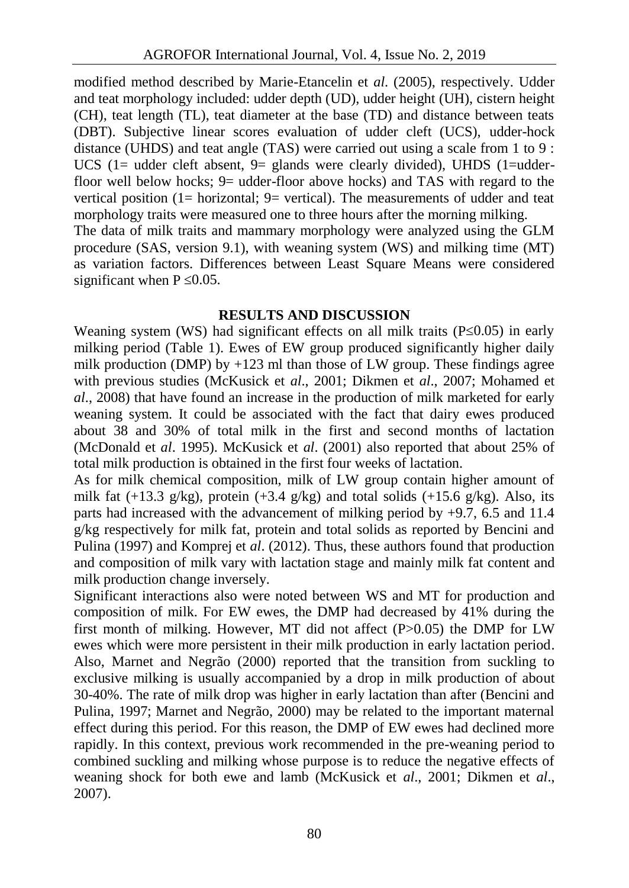modified method described by Marie-Etancelin et *al*. (2005), respectively. Udder and teat morphology included: udder depth (UD), udder height (UH), cistern height (CH), teat length (TL), teat diameter at the base (TD) and distance between teats (DBT). Subjective linear scores evaluation of udder cleft (UCS), udder-hock distance (UHDS) and teat angle (TAS) were carried out using a scale from 1 to 9 : UCS (1= udder cleft absent, 9= glands were clearly divided), UHDS (1=udderfloor well below hocks; 9= udder-floor above hocks) and TAS with regard to the vertical position (1= horizontal;  $9=$  vertical). The measurements of udder and teat morphology traits were measured one to three hours after the morning milking.

The data of milk traits and mammary morphology were analyzed using the GLM procedure (SAS, version 9.1), with weaning system (WS) and milking time (MT) as variation factors. Differences between Least Square Means were considered significant when  $P$  0.05.

## **RESULTS AND DISCUSSION**

Weaning system (WS) had significant effects on all milk traits (P $(0.05)$ ) in early milking period (Table 1). Ewes of EW group produced significantly higher daily milk production (DMP) by  $+123$  ml than those of LW group. These findings agree with previous studies (McKusick et *al*., 2001; Dikmen et *al*., 2007; Mohamed et *al*., 2008) that have found an increase in the production of milk marketed for early weaning system. It could be associated with the fact that dairy ewes produced about 38 and 30% of total milk in the first and second months of lactation (McDonald et *al*. 1995). McKusick et *al*. (2001) also reported that about 25% of total milk production is obtained in the first four weeks of lactation.

As for milk chemical composition, milk of LW group contain higher amount of milk fat  $(+13.3 \text{ g/kg})$ , protein  $(+3.4 \text{ g/kg})$  and total solids  $(+15.6 \text{ g/kg})$ . Also, its parts had increased with the advancement of milking period by +9.7, 6.5 and 11.4 g/kg respectively for milk fat, protein and total solids as reported by Bencini and Pulina (1997) and Komprej et *al*. (2012). Thus, these authors found that production and composition of milk vary with lactation stage and mainly milk fat content and milk production change inversely.

Significant interactions also were noted between WS and MT for production and composition of milk. For EW ewes, the DMP had decreased by 41% during the first month of milking. However, MT did not affect (P>0.05) the DMP for LW ewes which were more persistent in their milk production in early lactation period. Also, Marnet and Negrão (2000) reported that the transition from suckling to exclusive milking is usually accompanied by a drop in milk production of about 30-40%. The rate of milk drop was higher in early lactation than after (Bencini and Pulina, 1997; Marnet and Negrão, 2000) may be related to the important maternal effect during this period. For this reason, the DMP of EW ewes had declined more rapidly. In this context, previous work recommended in the pre-weaning period to combined suckling and milking whose purpose is to reduce the negative effects of weaning shock for both ewe and lamb (McKusick et *al*., 2001; Dikmen et *al*., 2007).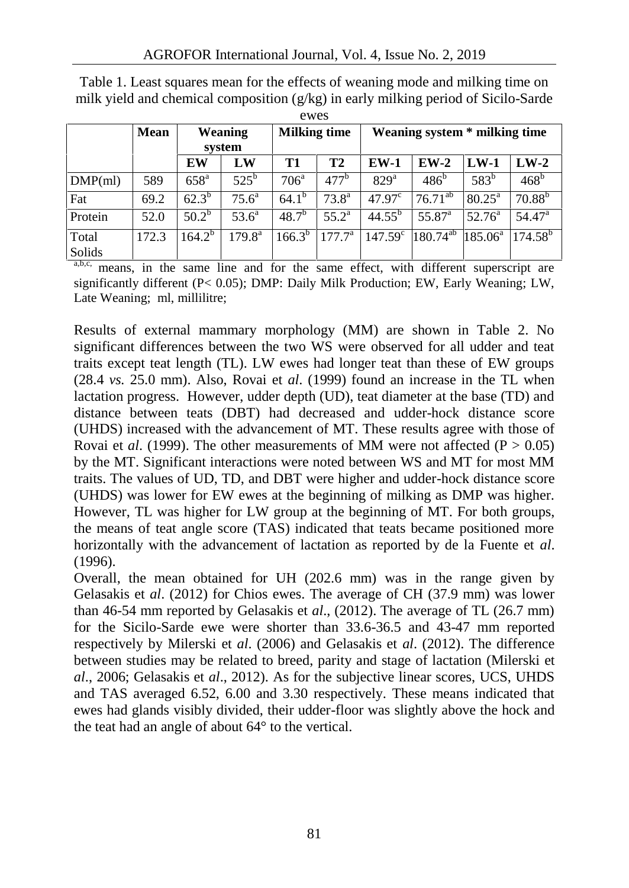|                 | Mean  | Weaning<br>system |                    | <b>Milking time</b> |                  | Weaning system * milking time |                 |                    |                  |  |  |
|-----------------|-------|-------------------|--------------------|---------------------|------------------|-------------------------------|-----------------|--------------------|------------------|--|--|
|                 |       |                   |                    |                     |                  |                               |                 |                    |                  |  |  |
|                 |       | EW                | LW                 | T <sub>1</sub>      | T2               | <b>EW-1</b>                   | $EW-2$          | $LW-1$             | $LW-2$           |  |  |
| $DMP$ (ml)      | 589   | 658 <sup>a</sup>  | $525^{b}$          | 706 <sup>a</sup>    | 477 <sup>b</sup> | 829 <sup>a</sup>              | $486^{\circ}$   | 583 <sup>b</sup>   | 468 <sup>b</sup> |  |  |
| Fat             | 69.2  | $62.3^{b}$        | 75.6 <sup>a</sup>  | $64.1^{b}$          | $73.8^{\rm a}$   | 47.97 <sup>c</sup>            | $76.71^{ab}$    | $80.25^{\text{a}}$ | $70.88^{b}$      |  |  |
| Protein         | 52.0  | $50.2^b$          | $53.6^{\circ}$     | $48.7^{b}$          | $55.2^{\rm a}$   | $44.55^{b}$                   | $55.87^{\circ}$ | $52.76^{\circ}$    | $54.47^{\circ}$  |  |  |
| Total<br>Solids | 172.3 | $164.2^{b}$       | $179.8^{\text{a}}$ | $166.3^{b}$         | $177.7^{\rm a}$  | $147.59^{\circ}$              | $180.74^{ab}$   | $185.06^{\circ}$   | $174.58^b$       |  |  |

Table 1. Least squares mean for the effects of weaning mode and milking time on milk yield and chemical composition (g/kg) in early milking period of Sicilo-Sarde ewes

a,b,c, means, in the same line and for the same effect, with different superscript are significantly different (P< 0.05); DMP: Daily Milk Production; EW, Early Weaning; LW, Late Weaning; ml, millilitre;

Results of external mammary morphology (MM) are shown in Table 2. No significant differences between the two WS were observed for all udder and teat traits except teat length (TL). LW ewes had longer teat than these of EW groups (28.4 *vs.* 25.0 mm). Also, Rovai et *al*. (1999) found an increase in the TL when lactation progress. However, udder depth (UD), teat diameter at the base (TD) and distance between teats (DBT) had decreased and udder-hock distance score (UHDS) increased with the advancement of MT. These results agree with those of Rovai et *al.* (1999). The other measurements of MM were not affected ( $P > 0.05$ ) by the MT. Significant interactions were noted between WS and MT for most MM traits. The values of UD, TD, and DBT were higher and udder-hock distance score (UHDS) was lower for EW ewes at the beginning of milking as DMP was higher. However, TL was higher for LW group at the beginning of MT. For both groups, the means of teat angle score (TAS) indicated that teats became positioned more horizontally with the advancement of lactation as reported by de la Fuente et *al*. (1996).

Overall, the mean obtained for UH (202.6 mm) was in the range given by Gelasakis et *al*. (2012) for Chios ewes. The average of CH (37.9 mm) was lower than 46-54 mm reported by Gelasakis et *al*., (2012). The average of TL (26.7 mm) for the Sicilo-Sarde ewe were shorter than 33.6-36.5 and 43-47 mm reported respectively by Milerski et *al*. (2006) and Gelasakis et *al*. (2012). The difference between studies may be related to breed, parity and stage of lactation (Milerski et *al*., 2006; Gelasakis et *al*., 2012). As for the subjective linear scores, UCS, UHDS and TAS averaged 6.52, 6.00 and 3.30 respectively. These means indicated that ewes had glands visibly divided, their udder-floor was slightly above the hock and the teat had an angle of about 64° to the vertical.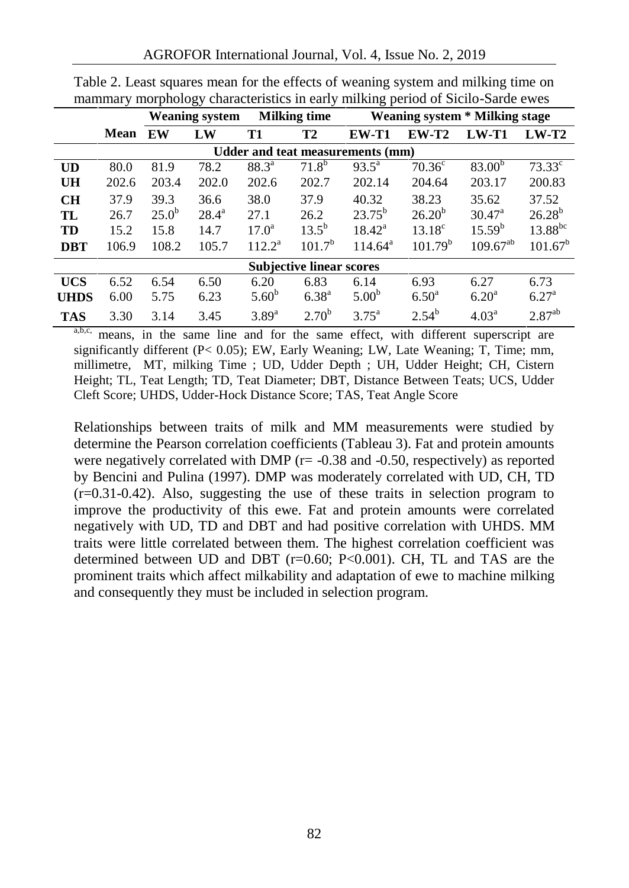|             |             |            | <b>Weaning system</b> | <b>Milking time</b> |                                 | <b>Weaning system * Milking stage</b>   |                     |                    |                 |  |  |
|-------------|-------------|------------|-----------------------|---------------------|---------------------------------|-----------------------------------------|---------------------|--------------------|-----------------|--|--|
|             | <b>Mean</b> | EW         | LW                    | <b>T1</b>           | T2                              | <b>EW-T1</b>                            | <b>EW-T2</b>        | $LW-T1$            | $LW-T2$         |  |  |
|             |             |            |                       |                     |                                 | <b>Udder and teat measurements (mm)</b> |                     |                    |                 |  |  |
| UD          | 80.0        | 81.9       | 78.2                  | $88.3^{a}$          | $71.8^{b}$                      | $93.5^{\circ}$                          | 70.36 <sup>c</sup>  | $83.00^{b}$        | $73.33^{\circ}$ |  |  |
| UH          | 202.6       | 203.4      | 202.0                 | 202.6               | 202.7                           | 202.14                                  | 204.64              | 203.17             | 200.83          |  |  |
| CH          | 37.9        | 39.3       | 36.6                  | 38.0                | 37.9                            | 40.32                                   | 38.23               | 35.62              | 37.52           |  |  |
| TL          | 26.7        | $25.0^{b}$ | $28.4^{\rm a}$        | 27.1                | 26.2                            | $23.75^b$                               | $26.20^{b}$         | $30.47^{\circ}$    | $26.28^{b}$     |  |  |
| TD          | 15.2        | 15.8       | 14.7                  | $17.0^{\rm a}$      | $13.5^{b}$                      | $18.42^a$                               | $13.18^{\circ}$     | 15.59 <sup>b</sup> | $13.88^{bc}$    |  |  |
| <b>DBT</b>  | 106.9       | 108.2      | 105.7                 | $112.2^a$           | 101.7 <sup>b</sup>              | $114.64^a$                              | 101.79 <sup>b</sup> | $109.67^{ab}$      | $101.67^b$      |  |  |
|             |             |            |                       |                     | <b>Subjective linear scores</b> |                                         |                     |                    |                 |  |  |
| <b>UCS</b>  | 6.52        | 6.54       | 6.50                  | 6.20                | 6.83                            | 6.14                                    | 6.93                | 6.27               | 6.73            |  |  |
| <b>UHDS</b> | 6.00        | 5.75       | 6.23                  | $5.60^{b}$          | $6.38^{a}$                      | 5.00 <sup>b</sup>                       | $6.50^{\rm a}$      | 6.20 <sup>a</sup>  | $6.27^{\rm a}$  |  |  |
| <b>TAS</b>  | 3.30        | 3.14       | 3.45                  | $3.89^{a}$          | $2.70^{b}$                      | $3.75^{\rm a}$                          | $2.54^{b}$          | 4.03 <sup>a</sup>  | $2.87^{ab}$     |  |  |

Table 2. Least squares mean for the effects of weaning system and milking time on mammary morphology characteristics in early milking period of Sicilo-Sarde ewes

a,b,c, means, in the same line and for the same effect, with different superscript are significantly different (P< 0.05); EW, Early Weaning; LW, Late Weaning; T, Time; mm, millimetre, MT, milking Time ; UD, Udder Depth ; UH, Udder Height; CH, Cistern Height; TL, Teat Length; TD, Teat Diameter; DBT, Distance Between Teats; UCS, Udder Cleft Score; UHDS, Udder-Hock Distance Score; TAS, Teat Angle Score

Relationships between traits of milk and MM measurements were studied by determine the Pearson correlation coefficients (Tableau 3). Fat and protein amounts were negatively correlated with DMP ( $r = -0.38$  and  $-0.50$ , respectively) as reported by Bencini and Pulina (1997). DMP was moderately correlated with UD, CH, TD (r=0.31-0.42). Also, suggesting the use of these traits in selection program to improve the productivity of this ewe. Fat and protein amounts were correlated negatively with UD, TD and DBT and had positive correlation with UHDS. MM traits were little correlated between them. The highest correlation coefficient was determined between UD and DBT (r=0.60; P<0.001). CH, TL and TAS are the prominent traits which affect milkability and adaptation of ewe to machine milking and consequently they must be included in selection program.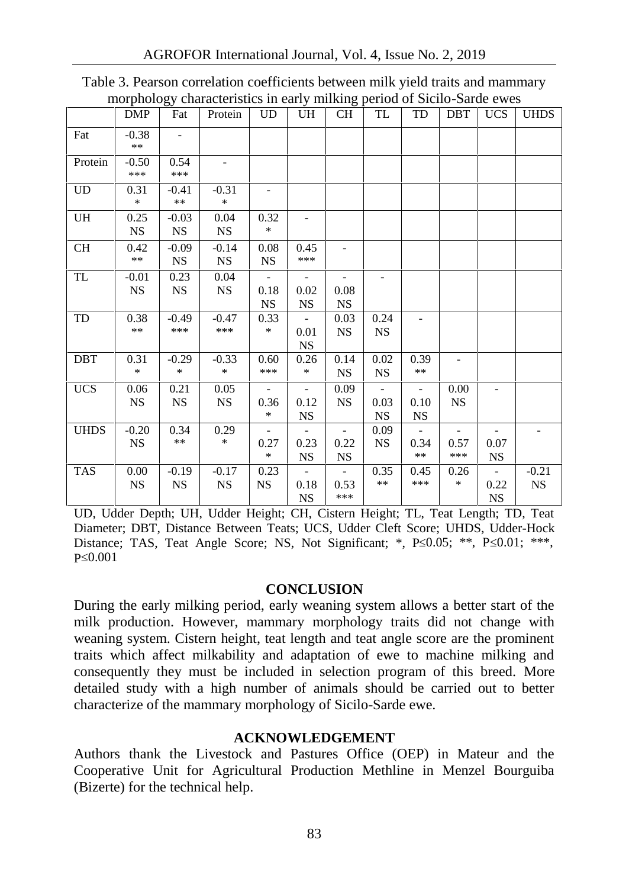|             |                      | ວມ                       |                      |                                               |                                               | o                                       |                          |                                               |                                         |                                               |                      |
|-------------|----------------------|--------------------------|----------------------|-----------------------------------------------|-----------------------------------------------|-----------------------------------------|--------------------------|-----------------------------------------------|-----------------------------------------|-----------------------------------------------|----------------------|
|             | DMP                  | Fat                      | Protein              | <b>UD</b>                                     | UH                                            | <b>CH</b>                               | TL                       | TD                                            | <b>DBT</b>                              | <b>UCS</b>                                    | <b>UHDS</b>          |
| Fat         | $-0.38$<br>$***$     | $\overline{\phantom{a}}$ |                      |                                               |                                               |                                         |                          |                                               |                                         |                                               |                      |
| Protein     | $-0.50$<br>***       | 0.54<br>***              |                      |                                               |                                               |                                         |                          |                                               |                                         |                                               |                      |
| <b>UD</b>   | 0.31<br>$\ast$       | $-0.41$<br>$***$         | $-0.31$<br>$\ast$    | -                                             |                                               |                                         |                          |                                               |                                         |                                               |                      |
| UH          | 0.25<br>NS           | $-0.03$<br><b>NS</b>     | 0.04<br><b>NS</b>    | 0.32<br>$*$                                   |                                               |                                         |                          |                                               |                                         |                                               |                      |
| CH          | 0.42<br>$***$        | $-0.09$<br><b>NS</b>     | $-0.14$<br><b>NS</b> | 0.08<br>$_{\rm NS}$                           | 0.45<br>***                                   |                                         |                          |                                               |                                         |                                               |                      |
| TL          | $-0.01$<br><b>NS</b> | 0.23<br><b>NS</b>        | 0.04<br><b>NS</b>    | $\overline{\phantom{a}}$<br>0.18<br><b>NS</b> | $\overline{\phantom{a}}$<br>0.02<br><b>NS</b> | 0.08<br><b>NS</b>                       | $\overline{\phantom{a}}$ |                                               |                                         |                                               |                      |
| TD          | 0.38<br>$***$        | $-0.49$<br>***           | $-0.47$<br>***       | 0.33<br>$\ast$                                | $\overline{\phantom{a}}$<br>0.01<br><b>NS</b> | 0.03<br><b>NS</b>                       | 0.24<br><b>NS</b>        |                                               |                                         |                                               |                      |
| DBT         | 0.31<br>$*$          | $-0.29$<br>$\ast$        | $-0.33$<br>$*$       | 0.60<br>***                                   | 0.26<br>$\ast$                                | 0.14<br><b>NS</b>                       | 0.02<br><b>NS</b>        | 0.39<br>$\ast\ast$                            |                                         |                                               |                      |
| <b>UCS</b>  | 0.06<br><b>NS</b>    | 0.21<br><b>NS</b>        | 0.05<br><b>NS</b>    | $\overline{\phantom{a}}$<br>0.36<br>$\ast$    | 0.12<br><b>NS</b>                             | 0.09<br><b>NS</b>                       | 0.03<br><b>NS</b>        | $\overline{\phantom{a}}$<br>0.10<br><b>NS</b> | 0.00<br><b>NS</b>                       | $\overline{\phantom{0}}$                      |                      |
| <b>UHDS</b> | $-0.20$<br><b>NS</b> | 0.34<br>$***$            | 0.29<br>$\ast$       | $\overline{\phantom{a}}$<br>0.27<br>$\ast$    | 0.23<br><b>NS</b>                             | 0.22<br><b>NS</b>                       | 0.09<br>$_{\rm NS}$      | 0.34<br>$***$                                 | $\overline{\phantom{a}}$<br>0.57<br>*** | 0.07<br><b>NS</b>                             |                      |
| <b>TAS</b>  | 0.00<br><b>NS</b>    | $-0.19$<br><b>NS</b>     | $-0.17$<br><b>NS</b> | 0.23<br><b>NS</b>                             | $\blacksquare$<br>0.18<br><b>NS</b>           | $\overline{\phantom{a}}$<br>0.53<br>*** | 0.35<br>$***$            | 0.45<br>***                                   | 0.26<br>$\ast$                          | $\overline{\phantom{a}}$<br>0.22<br><b>NS</b> | $-0.21$<br><b>NS</b> |

Table 3. Pearson correlation coefficients between milk yield traits and mammary morphology characteristics in early milking period of Sicilo-Sarde ewes

UD, Udder Depth; UH, Udder Height; CH, Cistern Height; TL, Teat Length; TD, Teat Diameter; DBT, Distance Between Teats; UCS, Udder Cleft Score; UHDS, Udder-Hock Distance; TAS, Teat Angle Score; NS, Not Significant; \*, P 0.05; \*\*, P 0.01; \*\*\*, P  $0.001$ 

#### **CONCLUSION**

During the early milking period, early weaning system allows a better start of the milk production. However, mammary morphology traits did not change with weaning system. Cistern height, teat length and teat angle score are the prominent traits which affect milkability and adaptation of ewe to machine milking and consequently they must be included in selection program of this breed. More detailed study with a high number of animals should be carried out to better characterize of the mammary morphology of Sicilo-Sarde ewe.

## **ACKNOWLEDGEMENT**

Authors thank the Livestock and Pastures Office (OEP) in Mateur and the Cooperative Unit for Agricultural Production Methline in Menzel Bourguiba (Bizerte) for the technical help.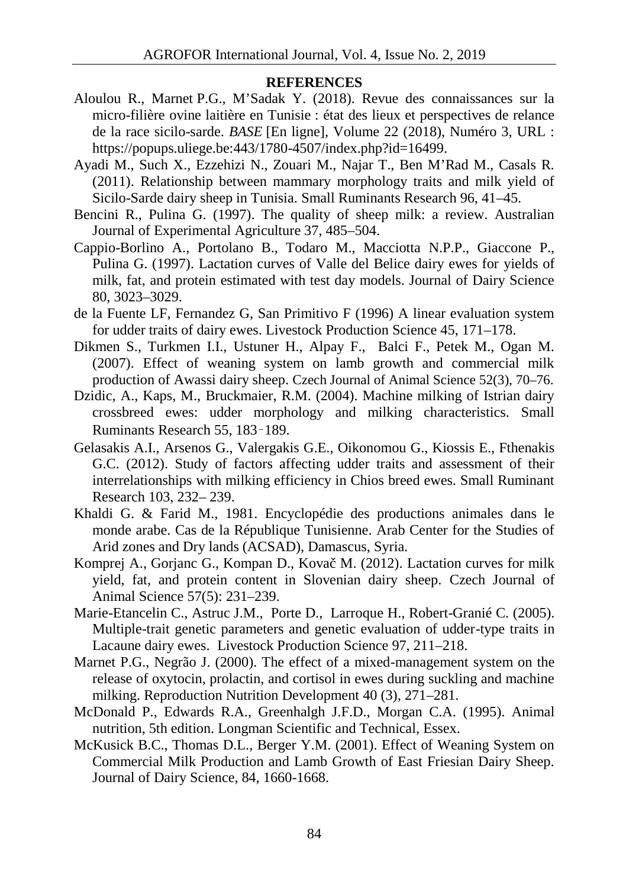#### **REFERENCES**

- Aloulou R., Marnet P.G., M'Sadak Y. (2018). Revue des connaissances sur la micro-filière ovine laitière en Tunisie : état des lieux et perspectives de relance de la race sicilo-sarde. *BASE* [En ligne], Volume 22 (2018), Numéro 3, URL : https://popups.uliege.be:443/1780-4507/index.php?id=16499.
- Ayadi M., Such X., Ezzehizi N., Zouari M., Najar T., Ben M'Rad M., Casals R. (2011). Relationship between mammary morphology traits and milk yield of Sicilo-Sarde dairy sheep in Tunisia. Small Ruminants Research 96, 41–45.
- Bencini R., Pulina G. (1997). The quality of sheep milk: a review. Australian Journal of Experimental Agriculture 37, 485–504.
- Cappio-Borlino A., Portolano B., Todaro M., Macciotta N.P.P., Giaccone P., Pulina G. (1997). Lactation curves of Valle del Belice dairy ewes for yields of milk, fat, and protein estimated with test day models. Journal of Dairy Science 80, 3023–3029.
- de la Fuente LF, Fernandez G, San Primitivo F (1996) A linear evaluation system for udder traits of dairy ewes. Livestock Production Science 45, 171–178.
- Dikmen S., Turkmen I.I., Ustuner H., Alpay F., Balci F., Petek M., Ogan M. (2007). Effect of weaning system on lamb growth and commercial milk production of Awassi dairy sheep. Czech Journal of Animal Science 52(3), 70–76.
- Dzidic, A., Kaps, M., Bruckmaier, R.M. (2004). Machine milking of Istrian dairy crossbreed ewes: udder morphology and milking characteristics. Small Ruminants Research 55, 183–189.
- Gelasakis A.I., Arsenos G., Valergakis G.E., Oikonomou G., Kiossis E., Fthenakis G.C. (2012). Study of factors affecting udder traits and assessment of their interrelationships with milking efficiency in Chios breed ewes. Small Ruminant Research 103, 232– 239.
- Khaldi G. & Farid M., 1981. Encyclopédie des productions animales dans le monde arabe. Cas de la République Tunisienne. Arab Center for the Studies of Arid zones and Dry lands (ACSAD), Damascus, Syria.
- Komprej A., Gorjanc G., Kompan D., Kova M. (2012). Lactation curves for milk yield, fat, and protein content in Slovenian dairy sheep. Czech Journal of Animal Science 57(5): 231–239.
- Marie-Etancelin C., Astruc J.M., Porte D., Larroque H., Robert-Granié C. (2005). Multiple-trait genetic parameters and genetic evaluation of udder-type traits in Lacaune dairy ewes. Livestock Production Science 97, 211–218.
- Marnet P.G., Negrão J. (2000). The effect of a mixed-management system on the release of oxytocin, prolactin, and cortisol in ewes during suckling and machine milking. Reproduction Nutrition Development 40 (3), 271–281.
- McDonald P., Edwards R.A., Greenhalgh J.F.D., Morgan C.A. (1995). Animal nutrition, 5th edition. Longman Scientific and Technical, Essex.
- McKusick B.C., Thomas D.L., Berger Y.M. (2001). Effect of Weaning System on Commercial Milk Production and Lamb Growth of East Friesian Dairy Sheep. Journal of Dairy Science, 84, 1660-1668.